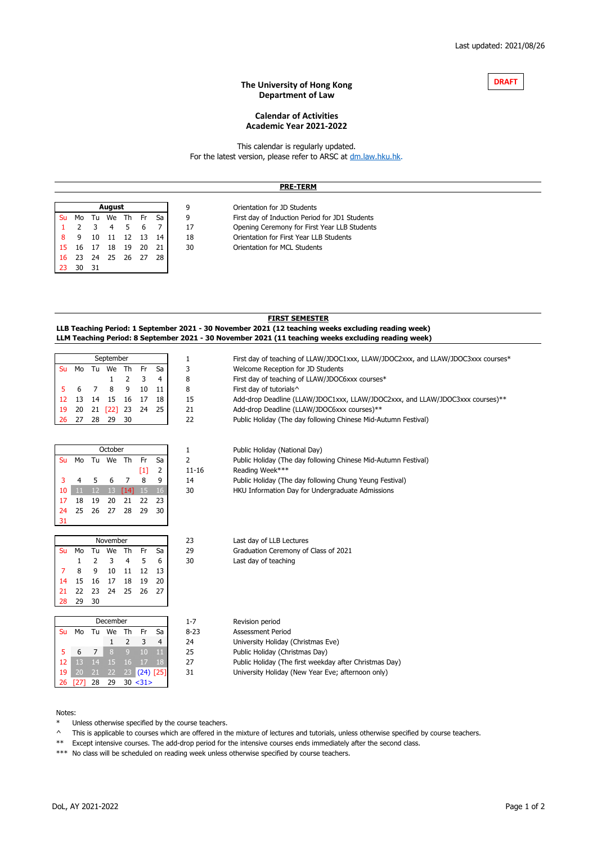#### **The University of Hong Kong Department of Law**



# **Academic Year 2021-2022 Calendar of Activities**

[T](https://dm.law.hku.hk/)his calendar is regularly updated. [For the latest version, please refer to ARSC at](https://dm.law.hku.hk/) dm.law.hku.hk.

|           | <b>PRE-TERM</b> |     |        |       |    |    |    |                                                |
|-----------|-----------------|-----|--------|-------|----|----|----|------------------------------------------------|
|           |                 |     |        |       |    |    |    |                                                |
|           |                 |     | August |       |    |    | 9  | Orientation for JD Students                    |
| <b>Su</b> | Mo              | Tu  | We     | Th Fr |    | Sa | 9  | First day of Induction Period for JD1 Students |
|           |                 |     | 4      |       |    |    | 17 | Opening Ceremony for First Year LLB Students   |
| 8         | 9               | 10  | - 11   | 12    | 13 | 14 | 18 | Orientation for First Year LLB Students        |
| 15        | 16              | 17  | 18     | 19    | 20 | 21 | 30 | Orientation for MCL Students                   |
| 16        | 23              | 24  | -25    | 26    | 27 | 28 |    |                                                |
| 23        | 30              | -31 |        |       |    |    |    |                                                |

## **FIRST SEMESTER LLB Teaching Period: 1 September 2021 - 30 November 2021 (12 teaching weeks excluding reading week) LLM Teaching Period: 8 September 2021 - 30 November 2021 (11 teaching weeks excluding reading week)**

|           |        |                | September    |                |             |    | 1         | First day of teaching of LLAW/JDOC1xxx, LLAW/JDOC2xxx, and LLAW/JDOC3xxx courses* |
|-----------|--------|----------------|--------------|----------------|-------------|----|-----------|-----------------------------------------------------------------------------------|
| <b>Su</b> | Mo     | Tu             | We           | Th             | <b>Fr</b>   | Sa | 3         | Welcome Reception for JD Students                                                 |
|           |        |                | 1            | 2              | 3           | 4  | 8         | First day of teaching of LLAW/JDOC6xxx courses*                                   |
| 5         | 6      | 7              | 8            | 9              | 10          | 11 | 8         | First day of tutorials^                                                           |
| 12        | 13     | 14             | 15           | 16             | 17          | 18 | 15        | Add-drop Deadline (LLAW/JDOC1xxx, LLAW/JDOC2xxx, and LLAW/JDOC3xxx courses)**     |
| 19        | 20     | 21             | $[22]$       | 23             | 24          | 25 | 21        | Add-drop Deadline (LLAW/JDOC6xxx courses)**                                       |
| 26        | 27     | 28             | 29           | 30             |             |    | 22        | Public Holiday (The day following Chinese Mid-Autumn Festival)                    |
|           |        |                |              |                |             |    |           |                                                                                   |
|           |        |                |              |                |             |    |           |                                                                                   |
|           |        |                | October      |                |             |    | 1         | Public Holiday (National Day)                                                     |
| Su        | Mo     | Tu             | We Th        |                | Fr          | Sa | 2         | Public Holiday (The day following Chinese Mid-Autumn Festival)                    |
|           |        |                |              |                | [1]         | 2  | $11 - 16$ | Reading Week***                                                                   |
| 3         | 4      | 5              | 6            | 7              | 8           | 9  | 14        | Public Holiday (The day following Chung Yeung Festival)                           |
| 10        | 11     | 12             | 13           | [14]           | 15          | 16 | 30        | HKU Information Day for Undergraduate Admissions                                  |
| 17        | 18     | 19             | 20           | 21             | 22          | 23 |           |                                                                                   |
| 24        | 25     | 26             | 27           | 28             | 29          | 30 |           |                                                                                   |
| 31        |        |                |              |                |             |    |           |                                                                                   |
|           |        |                | November     |                |             |    | 23        | Last day of LLB Lectures                                                          |
| <b>Su</b> | Mo     | Tu             | We           | Th             | Fr          | Sa | 29        | Graduation Ceremony of Class of 2021                                              |
|           | 1      | 2              | 3            | 4              | 5           | 6  | 30        | Last day of teaching                                                              |
| 7         | 8      | 9              | 10           | 11             | 12          | 13 |           |                                                                                   |
| 14        | 15     | 16             | 17           | 18             | 19          | 20 |           |                                                                                   |
| 21        | 22     | 23             | 24           | 25             | 26          | 27 |           |                                                                                   |
| 28        | 29     | 30             |              |                |             |    |           |                                                                                   |
|           |        |                |              |                |             |    |           |                                                                                   |
|           |        |                | December     |                |             |    | $1 - 7$   | Revision period                                                                   |
| Su        | Mo     | Tu             | We           | Th             | Fr          | Sa | $8 - 23$  | <b>Assessment Period</b>                                                          |
|           |        |                | $\mathbf{1}$ | $\overline{2}$ | 3           | 4  | 24        | University Holiday (Christmas Eve)                                                |
| 5         | 6      | $\overline{7}$ | 8            | $\overline{9}$ | 10          | ш  | 25        | Public Holiday (Christmas Day)                                                    |
| 12        | 13     | 14             | 15           | 16             | 17          | 18 | 27        | Public Holiday (The first weekday after Christmas Day)                            |
| 19        | 20     | 21             | 22           | 23             | $(24)$ [25] |    | 31        | University Holiday (New Year Eve; afternoon only)                                 |
| 26        | $[27]$ | 28             | 29           |                | 30 < 31     |    |           |                                                                                   |

## Notes:

Unless otherwise specified by the course teachers.

^ This is applicable to courses which are offered in the mixture of lectures and tutorials, unless otherwise specified by course teachers.

\*\* Except intensive courses. The add-drop period for the intensive courses ends immediately after the second class.

\*\*\* No class will be scheduled on reading week unless otherwise specified by course teachers.